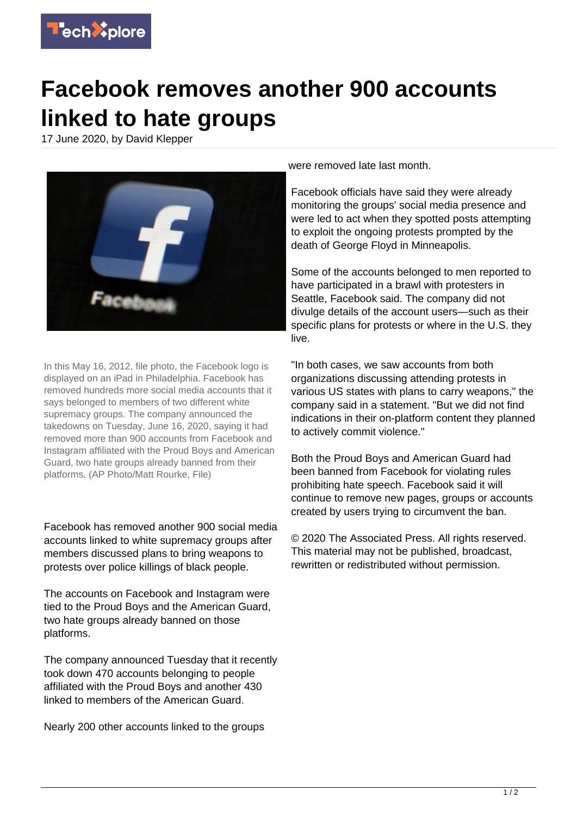

## **Facebook removes another 900 accounts linked to hate groups**

17 June 2020, by David Klepper



In this May 16, 2012, file photo, the Facebook logo is displayed on an iPad in Philadelphia. Facebook has removed hundreds more social media accounts that it says belonged to members of two different white supremacy groups. The company announced the takedowns on Tuesday, June 16, 2020, saying it had removed more than 900 accounts from Facebook and Instagram affiliated with the Proud Boys and American Guard, two hate groups already banned from their platforms. (AP Photo/Matt Rourke, File)

Facebook has removed another 900 social media accounts linked to white supremacy groups after members discussed plans to bring weapons to protests over police killings of black people.

The accounts on Facebook and Instagram were tied to the Proud Boys and the American Guard, two hate groups already banned on those platforms.

The company announced Tuesday that it recently took down 470 accounts belonging to people affiliated with the Proud Boys and another 430 linked to members of the American Guard.

Nearly 200 other accounts linked to the groups

were removed late last month.

Facebook officials have said they were already monitoring the groups' social media presence and were led to act when they spotted posts attempting to exploit the ongoing protests prompted by the death of George Floyd in Minneapolis.

Some of the accounts belonged to men reported to have participated in a brawl with protesters in Seattle, Facebook said. The company did not divulge details of the account users—such as their specific plans for protests or where in the U.S. they live.

"In both cases, we saw accounts from both organizations discussing attending protests in various US states with plans to carry weapons," the company said in a statement. "But we did not find indications in their on-platform content they planned to actively commit violence."

Both the Proud Boys and American Guard had been banned from Facebook for violating rules prohibiting hate speech. Facebook said it will continue to remove new pages, groups or accounts created by users trying to circumvent the ban.

© 2020 The Associated Press. All rights reserved. This material may not be published, broadcast, rewritten or redistributed without permission.